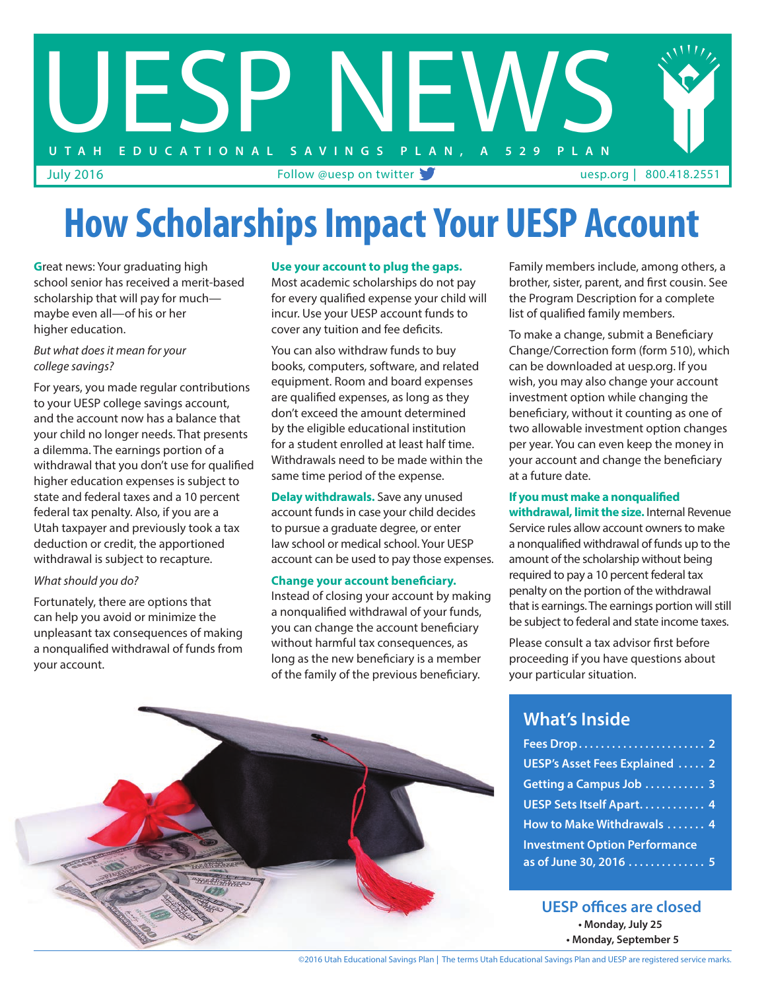

# **How Scholarships Impact Your UESP Account**

**G**reat news: Your graduating high school senior has received a merit-based scholarship that will pay for much maybe even all—of his or her higher education.

#### *But what does it mean for your college savings?*

For years, you made regular contributions to your UESP college savings account, and the account now has a balance that your child no longer needs. That presents a dilemma. The earnings portion of a withdrawal that you don't use for qualified higher education expenses is subject to state and federal taxes and a 10 percent federal tax penalty. Also, if you are a Utah taxpayer and previously took a tax deduction or credit, the apportioned withdrawal is subject to recapture.

#### *What should you do?*

Fortunately, there are options that can help you avoid or minimize the unpleasant tax consequences of making a nonqualified withdrawal of funds from your account.

#### **Use your account to plug the gaps.**

Most academic scholarships do not pay for every qualified expense your child will incur. Use your UESP account funds to cover any tuition and fee deficits.

You can also withdraw funds to buy books, computers, software, and related equipment. Room and board expenses are qualified expenses, as long as they don't exceed the amount determined by the eligible educational institution for a student enrolled at least half time. Withdrawals need to be made within the same time period of the expense.

**Delay withdrawals.** Save any unused account funds in case your child decides to pursue a graduate degree, or enter law school or medical school. Your UESP account can be used to pay those expenses.

#### **Change your account beneficiary.**

Instead of closing your account by making a nonqualified withdrawal of your funds, you can change the account beneficiary without harmful tax consequences, as long as the new beneficiary is a member of the family of the previous beneficiary.

Family members include, among others, a brother, sister, parent, and first cousin. See the Program Description for a complete list of qualified family members.

To make a change, submit a Beneficiary Change/Correction form (form 510), which can be downloaded at uesp.org. If you wish, you may also change your account investment option while changing the beneficiary, without it counting as one of two allowable investment option changes per year. You can even keep the money in your account and change the beneficiary at a future date.

#### **If you must make a nonqualified**

**withdrawal, limit the size.** Internal Revenue Service rules allow account owners to make a nonqualified withdrawal of funds up to the amount of the scholarship without being required to pay a 10 percent federal tax penalty on the portion of the withdrawal that is earnings. The earnings portion will still be subject to federal and state income taxes.

Please consult a tax advisor first before proceeding if you have questions about your particular situation.

#### **What's Inside**

| UESP's Asset Fees Explained  2       |  |
|--------------------------------------|--|
| Getting a Campus Job  3              |  |
| UESP Sets Itself Apart 4             |  |
| How to Make Withdrawals  4           |  |
| <b>Investment Option Performance</b> |  |
| as of June 30, 2016  5               |  |

**• Monday, July 25 • Monday, September 5 UESP offices are closed**



©2016 Utah Educational Savings Plan |The terms Utah Educational Savings Plan and UESP are registered service marks.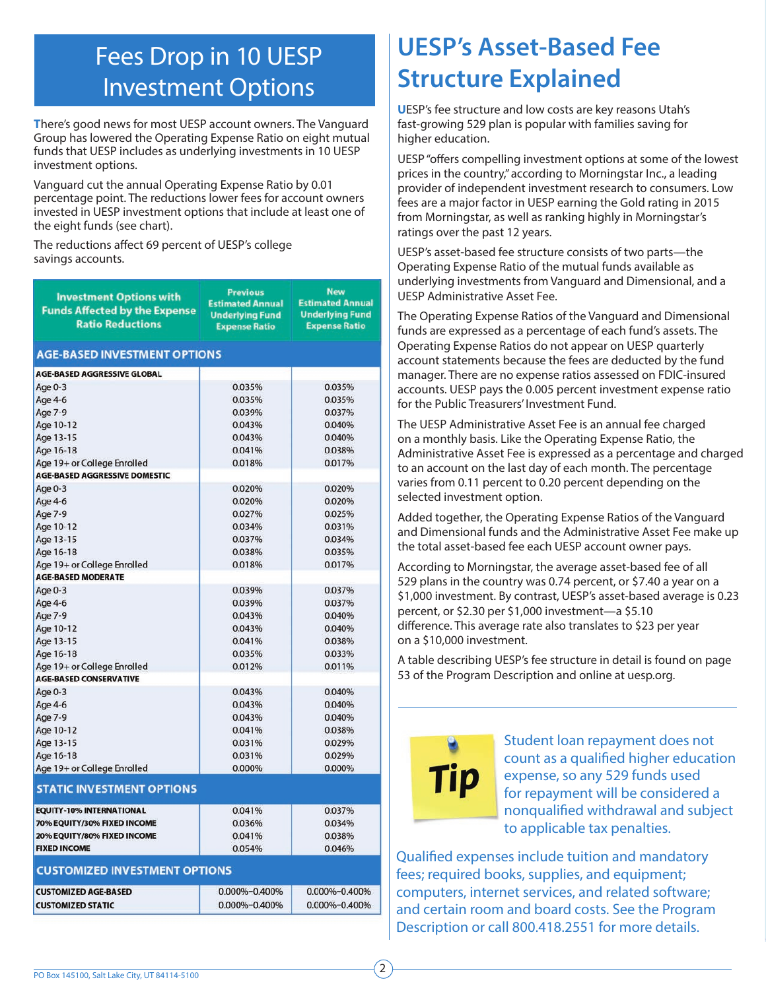### Fees Drop in 10 UESP Investment Options

**T**here's good news for most UESP account owners. The Vanguard Group has lowered the Operating Expense Ratio on eight mutual funds that UESP includes as underlying investments in 10 UESP investment options.

Vanguard cut the annual Operating Expense Ratio by 0.01 percentage point. The reductions lower fees for account owners invested in UESP investment options that include at least one of the eight funds (see chart).

The reductions affect 69 percent of UESP's college savings accounts.

| <b>Investment Options with</b><br><b>Funds Affected by the Expense</b><br><b>Ratio Reductions</b> | <b>Previous</b><br><b>Estimated Annual</b><br><b>Underlying Fund</b><br><b>Expense Ratio</b> | <b>New</b><br><b>Estimated Annual</b><br><b>Underlying Fund</b><br><b>Expense Ratio</b> |  |  |  |  |  |  |
|---------------------------------------------------------------------------------------------------|----------------------------------------------------------------------------------------------|-----------------------------------------------------------------------------------------|--|--|--|--|--|--|
| <b>AGE-BASED INVESTMENT OPTIONS</b>                                                               |                                                                                              |                                                                                         |  |  |  |  |  |  |
| <b>AGE-BASED AGGRESSIVE GLOBAL</b>                                                                |                                                                                              |                                                                                         |  |  |  |  |  |  |
| Age 0-3                                                                                           | 0.035%                                                                                       | 0.035%                                                                                  |  |  |  |  |  |  |
| Age 4-6                                                                                           | 0.035%                                                                                       | 0.035%                                                                                  |  |  |  |  |  |  |
| Age 7-9                                                                                           | 0.039%                                                                                       | 0.037%                                                                                  |  |  |  |  |  |  |
| Age 10-12                                                                                         | 0.043%                                                                                       | 0.040%                                                                                  |  |  |  |  |  |  |
| Age 13-15                                                                                         | 0.043%                                                                                       | 0.040%                                                                                  |  |  |  |  |  |  |
| Age 16-18                                                                                         | 0.041%                                                                                       | 0.038%                                                                                  |  |  |  |  |  |  |
| Age 19+ or College Enrolled                                                                       | 0.018%                                                                                       | 0.017%                                                                                  |  |  |  |  |  |  |
| <b>AGE-BASED AGGRESSIVE DOMESTIC</b>                                                              |                                                                                              |                                                                                         |  |  |  |  |  |  |
| Age 0-3                                                                                           | 0.020%                                                                                       | 0.020%                                                                                  |  |  |  |  |  |  |
| Age 4-6                                                                                           | 0.020%                                                                                       | 0.020%                                                                                  |  |  |  |  |  |  |
| Age 7-9                                                                                           | 0.027%                                                                                       | 0.025%                                                                                  |  |  |  |  |  |  |
| Age 10-12                                                                                         | 0.034%                                                                                       | 0.031%                                                                                  |  |  |  |  |  |  |
| Age 13-15                                                                                         | 0.037%                                                                                       | 0.034%                                                                                  |  |  |  |  |  |  |
| Age 16-18                                                                                         | 0.038%                                                                                       | 0.035%                                                                                  |  |  |  |  |  |  |
| Age 19+ or College Enrolled                                                                       | 0.018%                                                                                       | 0.017%                                                                                  |  |  |  |  |  |  |
| <b>AGE-BASED MODERATE</b>                                                                         |                                                                                              |                                                                                         |  |  |  |  |  |  |
| Age 0-3                                                                                           | 0.039%                                                                                       | 0.037%                                                                                  |  |  |  |  |  |  |
| Age 4-6                                                                                           | 0.039%                                                                                       | 0.037%                                                                                  |  |  |  |  |  |  |
| Age 7-9                                                                                           | 0.043%                                                                                       | 0.040%                                                                                  |  |  |  |  |  |  |
| Age 10-12                                                                                         | 0.043%                                                                                       | 0.040%                                                                                  |  |  |  |  |  |  |
| Age 13-15                                                                                         | 0.041%                                                                                       | 0.038%                                                                                  |  |  |  |  |  |  |
| Age 16-18                                                                                         | 0.035%                                                                                       | 0.033%                                                                                  |  |  |  |  |  |  |
| Age 19+ or College Enrolled                                                                       | 0.012%                                                                                       | 0.011%                                                                                  |  |  |  |  |  |  |
| <b>AGE-BASED CONSERVATIVE</b>                                                                     |                                                                                              |                                                                                         |  |  |  |  |  |  |
| Age 0-3                                                                                           | 0.043%                                                                                       | 0.040%                                                                                  |  |  |  |  |  |  |
| Age 4-6                                                                                           | 0.043%                                                                                       | 0.040%                                                                                  |  |  |  |  |  |  |
| Age 7-9                                                                                           | 0.043%                                                                                       | 0.040%                                                                                  |  |  |  |  |  |  |
| Age 10-12                                                                                         | 0.041%                                                                                       | 0.038%                                                                                  |  |  |  |  |  |  |
| Age 13-15                                                                                         | 0.031%                                                                                       | 0.029%                                                                                  |  |  |  |  |  |  |
| Age 16-18                                                                                         | 0.031%                                                                                       | 0.029%                                                                                  |  |  |  |  |  |  |
| Age 19+ or College Enrolled                                                                       | 0.000%                                                                                       | 0.000%                                                                                  |  |  |  |  |  |  |
| <b>STATIC INVESTMENT OPTIONS</b>                                                                  |                                                                                              |                                                                                         |  |  |  |  |  |  |
| <b>EQUITY-10% INTERNATIONAL</b>                                                                   | 0.041%                                                                                       | 0.037%                                                                                  |  |  |  |  |  |  |
| 70% EQUITY/30% FIXED INCOME                                                                       | 0.036%                                                                                       | 0.034%                                                                                  |  |  |  |  |  |  |
| 20% EQUITY/80% FIXED INCOME                                                                       | 0.041%                                                                                       | 0.038%                                                                                  |  |  |  |  |  |  |
| <b>FIXED INCOME</b>                                                                               | 0.054%                                                                                       | 0.046%                                                                                  |  |  |  |  |  |  |
| <b>CUSTOMIZED INVESTMENT OPTIONS</b>                                                              |                                                                                              |                                                                                         |  |  |  |  |  |  |
|                                                                                                   |                                                                                              |                                                                                         |  |  |  |  |  |  |
| <b>CUSTOMIZED AGE-BASED</b>                                                                       | 0.000%-0.400%                                                                                | 0.000%-0.400%                                                                           |  |  |  |  |  |  |
| <b>CUSTOMIZED STATIC</b>                                                                          | 0.000%-0.400%                                                                                | 0.000%-0.400%                                                                           |  |  |  |  |  |  |

## **UESP's Asset-Based Fee Structure Explained**

**U**ESP's fee structure and low costs are key reasons Utah's fast-growing 529 plan is popular with families saving for higher education.

UESP "offers compelling investment options at some of the lowest prices in the country," according to Morningstar Inc., a leading provider of independent investment research to consumers. Low fees are a major factor in UESP earning the Gold rating in 2015 from Morningstar, as well as ranking highly in Morningstar's ratings over the past 12 years.

UESP's asset-based fee structure consists of two parts—the Operating Expense Ratio of the mutual funds available as underlying investments from Vanguard and Dimensional, and a UESP Administrative Asset Fee.

The Operating Expense Ratios of the Vanguard and Dimensional funds are expressed as a percentage of each fund's assets. The Operating Expense Ratios do not appear on UESP quarterly account statements because the fees are deducted by the fund manager. There are no expense ratios assessed on FDIC-insured accounts. UESP pays the 0.005 percent investment expense ratio for the Public Treasurers' Investment Fund.

The UESP Administrative Asset Fee is an annual fee charged on a monthly basis. Like the Operating Expense Ratio, the Administrative Asset Fee is expressed as a percentage and charged to an account on the last day of each month. The percentage varies from 0.11 percent to 0.20 percent depending on the selected investment option.

Added together, the Operating Expense Ratios of the Vanguard and Dimensional funds and the Administrative Asset Fee make up the total asset-based fee each UESP account owner pays.

According to Morningstar, the average asset-based fee of all 529 plans in the country was 0.74 percent, or \$7.40 a year on a \$1,000 investment. By contrast, UESP's asset-based average is 0.23 percent, or \$2.30 per \$1,000 investment—a \$5.10 difference. This average rate also translates to \$23 per year on a \$10,000 investment.

A table describing UESP's fee structure in detail is found on page 53 of the Program Description and online at uesp.org.

# **Tip**

Student loan repayment does not count as a qualified higher education expense, so any 529 funds used for repayment will be considered a nonqualified withdrawal and subject to applicable tax penalties.

Qualified expenses include tuition and mandatory fees; required books, supplies, and equipment; computers, internet services, and related software; and certain room and board costs. See the Program Description or call 800.418.2551 for more details.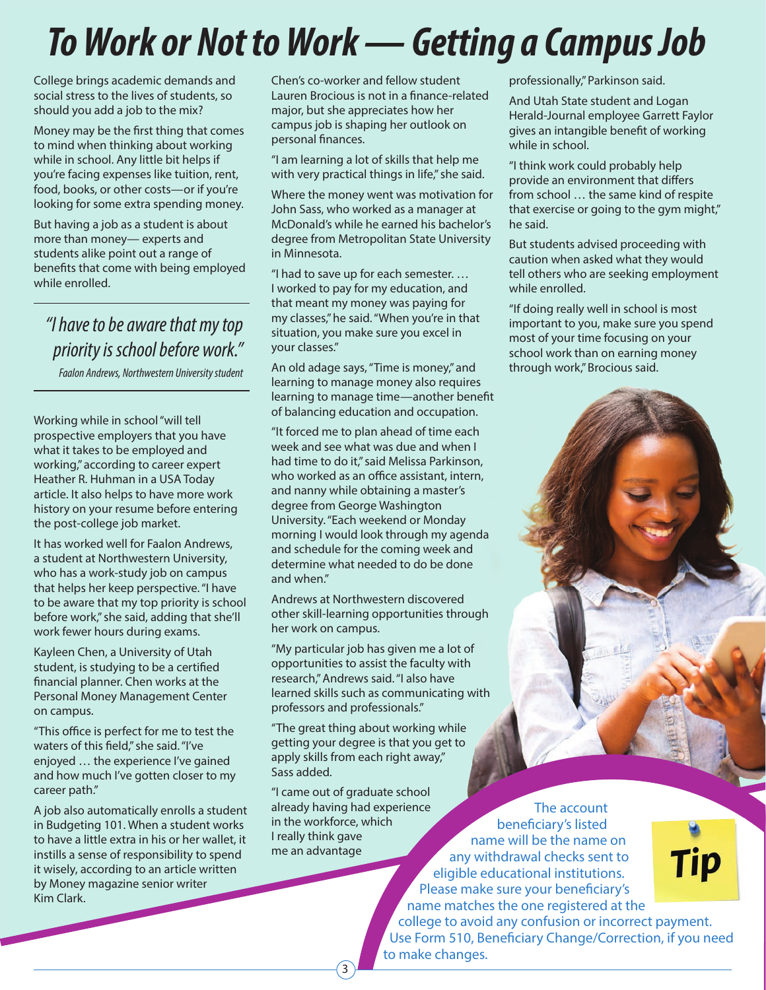# *To Work or Not to Work — Getting a Campus Job*

College brings academic demands and social stress to the lives of students, so should you add a job to the mix?

Money may be the first thing that comes to mind when thinking about working while in school. Any little bit helps if you're facing expenses like tuition, rent, food, books, or other costs—or if you're looking for some extra spending money.

But having a job as a student is about more than money— experts and students alike point out a range of benefits that come with being employed while enrolled.

*"I have to be aware that my top priority is school before work."*

*Faalon Andrews, Northwestern University student*

Working while in school "will tell prospective employers that you have what it takes to be employed and working," according to career expert Heather R. Huhman in a USA Today article. It also helps to have more work history on your resume before entering the post-college job market.

It has worked well for Faalon Andrews, a student at Northwestern University, who has a work-study job on campus that helps her keep perspective. "I have to be aware that my top priority is school before work," she said, adding that she'll work fewer hours during exams.

Kayleen Chen, a University of Utah student, is studying to be a certified financial planner. Chen works at the Personal Money Management Center on campus.

"This office is perfect for me to test the waters of this field," she said. "I've enjoyed … the experience I've gained and how much I've gotten closer to my career path."

A job also automatically enrolls a student in Budgeting 101. When a student works to have a little extra in his or her wallet, it instills a sense of responsibility to spend it wisely, according to an article written by Money magazine senior writer Kim Clark.

Chen's co-worker and fellow student Lauren Brocious is not in a finance-related major, but she appreciates how her campus job is shaping her outlook on personal finances.

"I am learning a lot of skills that help me with very practical things in life," she said.

Where the money went was motivation for John Sass, who worked as a manager at McDonald's while he earned his bachelor's degree from Metropolitan State University in Minnesota.

"I had to save up for each semester. … I worked to pay for my education, and that meant my money was paying for my classes," he said. "When you're in that situation, you make sure you excel in your classes."

An old adage says, "Time is money," and learning to manage money also requires learning to manage time—another benefit of balancing education and occupation.

"It forced me to plan ahead of time each week and see what was due and when I had time to do it," said Melissa Parkinson, who worked as an office assistant, intern, and nanny while obtaining a master's degree from George Washington University. "Each weekend or Monday morning I would look through my agenda and schedule for the coming week and determine what needed to do be done and when."

Andrews at Northwestern discovered other skill-learning opportunities through her work on campus.

"My particular job has given me a lot of opportunities to assist the faculty with research," Andrews said. "I also have learned skills such as communicating with professors and professionals."

"The great thing about working while getting your degree is that you get to apply skills from each right away," Sass added.

"I came out of graduate school already having had experience in the workforce, which I really think gave me an advantage

3

The account beneficiary's listed name will be the name on any withdrawal checks sent to eligible educational institutions. Please make sure your beneficiary's name matches the one registered at the college to avoid any confusion or incorrect payment. Use Form 510, Beneficiary Change/Correction, if you need to make changes.



"I think work could probably help provide an environment that differs

professionally," Parkinson said. And Utah State student and Logan Herald-Journal employee Garrett Faylor gives an intangible benefit of working

while in school.

from school … the same kind of respite that exercise or going to the gym might," he said.

But students advised proceeding with caution when asked what they would tell others who are seeking employment while enrolled.

"If doing really well in school is most important to you, make sure you spend most of your time focusing on your school work than on earning money through work," Brocious said.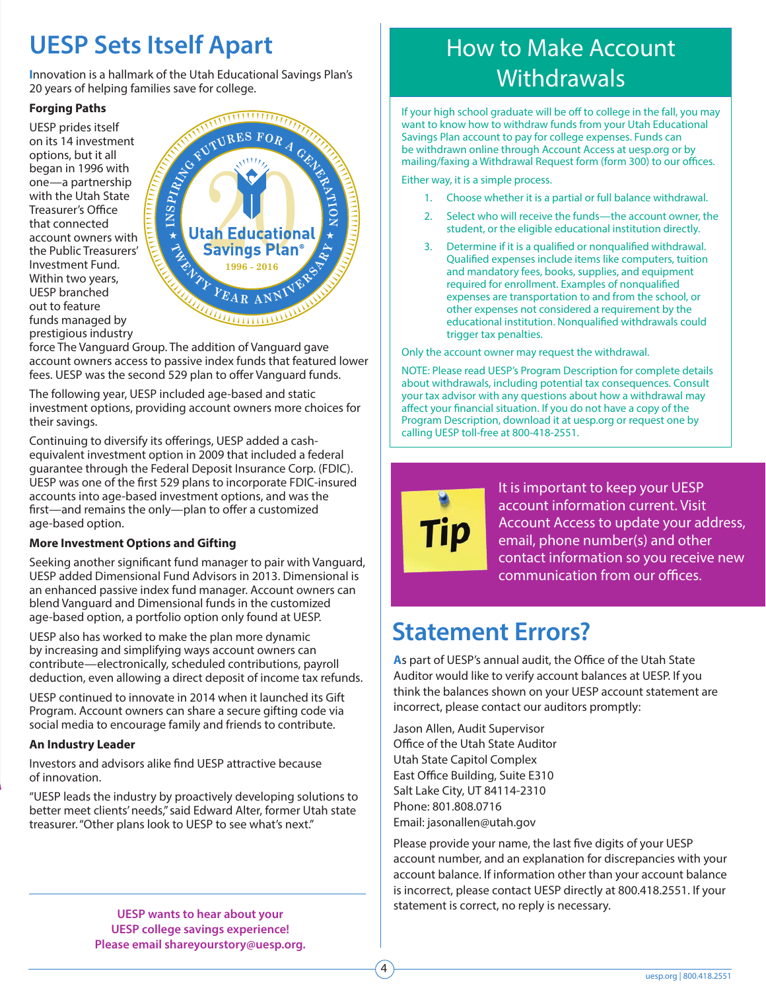## **UESP Sets Itself Apart**

**I**nnovation is a hallmark of the Utah Educational Savings Plan's 20 years of helping families save for college.

#### **Forging Paths**

UESP prides itself on its 14 investment options, but it all began in 1996 with one—a partnership with the Utah State Treasurer's Office that connected account owners with the Public Treasurers' Investment Fund. Within two years, UESP branched out to feature funds managed by prestigious industry



force The Vanguard Group. The addition of Vanguard gave account owners access to passive index funds that featured lower fees. UESP was the second 529 plan to offer Vanguard funds.

The following year, UESP included age-based and static investment options, providing account owners more choices for their savings.

Continuing to diversify its offerings, UESP added a cashequivalent investment option in 2009 that included a federal guarantee through the Federal Deposit Insurance Corp. (FDIC). UESP was one of the first 529 plans to incorporate FDIC-insured accounts into age-based investment options, and was the first—and remains the only—plan to offer a customized age-based option.

#### **More Investment Options and Gifting**

Seeking another significant fund manager to pair with Vanguard, UESP added Dimensional Fund Advisors in 2013. Dimensional is an enhanced passive index fund manager. Account owners can blend Vanguard and Dimensional funds in the customized age-based option, a portfolio option only found at UESP.

UESP also has worked to make the plan more dynamic by increasing and simplifying ways account owners can contribute—electronically, scheduled contributions, payroll deduction, even allowing a direct deposit of income tax refunds.

UESP continued to innovate in 2014 when it launched its Gift Program. Account owners can share a secure gifting code via social media to encourage family and friends to contribute.

#### **An Industry Leader**

Investors and advisors alike find UESP attractive because of innovation.

"UESP leads the industry by proactively developing solutions to better meet clients' needs," said Edward Alter, former Utah state treasurer. "Other plans look to UESP to see what's next."

# **Withdrawals**

If your high school graduate will be off to college in the fall, you may want to know how to withdraw funds from your Utah Educational Savings Plan account to pay for college expenses. Funds can be withdrawn online through Account Access at uesp.org or by mailing/faxing a Withdrawal Request form (form 300) to our offices.

How to Make Account

Either way, it is a simple process.

- 1. Choose whether it is a partial or full balance withdrawal.
- 2. Select who will receive the funds—the account owner, the student, or the eligible educational institution directly.
- 3. Determine if it is a qualified or nonqualified withdrawal. Qualified expenses include items like computers, tuition and mandatory fees, books, supplies, and equipment required for enrollment. Examples of nonqualified expenses are transportation to and from the school, or other expenses not considered a requirement by the educational institution. Nonqualified withdrawals could trigger tax penalties.

Only the account owner may request the withdrawal.

NOTE: Please read UESP's Program Description for complete details about withdrawals, including potential tax consequences. Consult your tax advisor with any questions about how a withdrawal may affect your financial situation. If you do not have a copy of the Program Description, download it at uesp.org or request one by calling UESP toll-free at 800-418-2551.



It is important to keep your UESP account information current. Visit Account Access to update your address, email, phone number(s) and other contact information so you receive new communication from our offices.

### **Statement Errors?**

**A**s part of UESP's annual audit, the Office of the Utah State Auditor would like to verify account balances at UESP. If you think the balances shown on your UESP account statement are incorrect, please contact our auditors promptly:

Jason Allen, Audit Supervisor Office of the Utah State Auditor Utah State Capitol Complex East Office Building, Suite E310 Salt Lake City, UT 84114-2310 Phone: 801.808.0716 Email: jasonallen@utah.gov

4

Please provide your name, the last five digits of your UESP account number, and an explanation for discrepancies with your account balance. If information other than your account balance is incorrect, please contact UESP directly at 800.418.2551. If your statement is correct, no reply is necessary.

**UESP wants to hear about your UESP college savings experience! Please email shareyourstory@uesp.org.**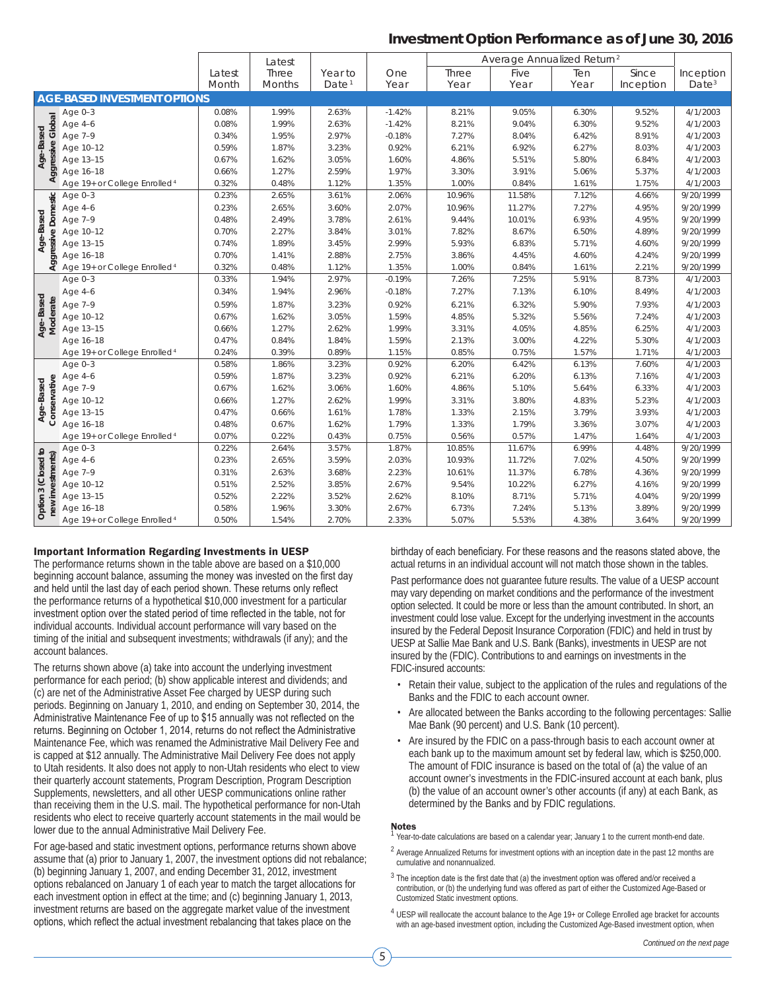#### **Investment Option Performance as of June 30, 2016**

|                                |                                          |        | Latest |                   |          | Average Annualized Return <sup>2</sup> |        |       |           |                   |
|--------------------------------|------------------------------------------|--------|--------|-------------------|----------|----------------------------------------|--------|-------|-----------|-------------------|
|                                |                                          | Latest | Three  | Year to           | One      | Three                                  | Five   | Ten   | Since     | Inception         |
|                                |                                          | Month  | Months | Date <sup>1</sup> | Year     | Year                                   | Year   | Year  | Inception | Date <sup>3</sup> |
|                                | <b>AGE-BASED INVESTMENT OPTIONS</b>      |        |        |                   |          |                                        |        |       |           |                   |
|                                | Age $0-3$                                | 0.08%  | 1.99%  | 2.63%             | $-1.42%$ | 8.21%                                  | 9.05%  | 6.30% | 9.52%     | 4/1/2003          |
|                                | Age 4-6                                  | 0.08%  | 1.99%  | 2.63%             | $-1.42%$ | 8.21%                                  | 9.04%  | 6.30% | 9.52%     | 4/1/2003          |
| Aggressive Global<br>Age-Based | Age 7-9                                  | 0.34%  | 1.95%  | 2.97%             | $-0.18%$ | 7.27%                                  | 8.04%  | 6.42% | 8.91%     | 4/1/2003          |
|                                | Age 10-12                                | 0.59%  | 1.87%  | 3.23%             | 0.92%    | 6.21%                                  | 6.92%  | 6.27% | 8.03%     | 4/1/2003          |
|                                | Age 13-15                                | 0.67%  | 1.62%  | 3.05%             | 1.60%    | 4.86%                                  | 5.51%  | 5.80% | 6.84%     | 4/1/2003          |
|                                | Age 16-18                                | 0.66%  | 1.27%  | 2.59%             | 1.97%    | 3.30%                                  | 3.91%  | 5.06% | 5.37%     | 4/1/2003          |
|                                | Age 19+ or College Enrolled <sup>4</sup> | 0.32%  | 0.48%  | 1.12%             | 1.35%    | 1.00%                                  | 0.84%  | 1.61% | 1.75%     | 4/1/2003          |
|                                | Age $0-3$                                | 0.23%  | 2.65%  | 3.61%             | 2.06%    | 10.96%                                 | 11.58% | 7.12% | 4.66%     | 9/20/1999         |
| Aggressive Domestic            | Age 4-6                                  | 0.23%  | 2.65%  | 3.60%             | 2.07%    | 10.96%                                 | 11.27% | 7.27% | 4.95%     | 9/20/1999         |
|                                | Age 7-9                                  | 0.48%  | 2.49%  | 3.78%             | 2.61%    | 9.44%                                  | 10.01% | 6.93% | 4.95%     | 9/20/1999         |
|                                | Age 10-12                                | 0.70%  | 2.27%  | 3.84%             | 3.01%    | 7.82%                                  | 8.67%  | 6.50% | 4.89%     | 9/20/1999         |
| Age-Based                      | Age 13-15                                | 0.74%  | 1.89%  | 3.45%             | 2.99%    | 5.93%                                  | 6.83%  | 5.71% | 4.60%     | 9/20/1999         |
|                                | Age 16-18                                | 0.70%  | 1.41%  | 2.88%             | 2.75%    | 3.86%                                  | 4.45%  | 4.60% | 4.24%     | 9/20/1999         |
|                                | Age 19+ or College Enrolled <sup>4</sup> | 0.32%  | 0.48%  | 1.12%             | 1.35%    | 1.00%                                  | 0.84%  | 1.61% | 2.21%     | 9/20/1999         |
|                                | Age $0-3$                                | 0.33%  | 1.94%  | 2.97%             | $-0.19%$ | 7.26%                                  | 7.25%  | 5.91% | 8.73%     | 4/1/2003          |
|                                | Age 4-6                                  | 0.34%  | 1.94%  | 2.96%             | $-0.18%$ | 7.27%                                  | 7.13%  | 6.10% | 8.49%     | 4/1/2003          |
| Age-Based<br>Moderate          | Age 7-9                                  | 0.59%  | 1.87%  | 3.23%             | 0.92%    | 6.21%                                  | 6.32%  | 5.90% | 7.93%     | 4/1/2003          |
|                                | Age 10-12                                | 0.67%  | 1.62%  | 3.05%             | 1.59%    | 4.85%                                  | 5.32%  | 5.56% | 7.24%     | 4/1/2003          |
|                                | Age 13-15                                | 0.66%  | 1.27%  | 2.62%             | 1.99%    | 3.31%                                  | 4.05%  | 4.85% | 6.25%     | 4/1/2003          |
|                                | Age 16-18                                | 0.47%  | 0.84%  | 1.84%             | 1.59%    | 2.13%                                  | 3.00%  | 4.22% | 5.30%     | 4/1/2003          |
|                                | Age 19+ or College Enrolled <sup>4</sup> | 0.24%  | 0.39%  | 0.89%             | 1.15%    | 0.85%                                  | 0.75%  | 1.57% | 1.71%     | 4/1/2003          |
|                                | Age $0-3$                                | 0.58%  | 1.86%  | 3.23%             | 0.92%    | 6.20%                                  | 6.42%  | 6.13% | 7.60%     | 4/1/2003          |
|                                | Age 4-6                                  | 0.59%  | 1.87%  | 3.23%             | 0.92%    | 6.21%                                  | 6.20%  | 6.13% | 7.16%     | 4/1/2003          |
|                                | Age 7-9                                  | 0.67%  | 1.62%  | 3.06%             | 1.60%    | 4.86%                                  | 5.10%  | 5.64% | 6.33%     | 4/1/2003          |
|                                | Age 10-12                                | 0.66%  | 1.27%  | 2.62%             | 1.99%    | 3.31%                                  | 3.80%  | 4.83% | 5.23%     | 4/1/2003          |
| Conservative<br>Age-Based      | Age 13-15                                | 0.47%  | 0.66%  | 1.61%             | 1.78%    | 1.33%                                  | 2.15%  | 3.79% | 3.93%     | 4/1/2003          |
|                                | Age 16-18                                | 0.48%  | 0.67%  | 1.62%             | 1.79%    | 1.33%                                  | 1.79%  | 3.36% | 3.07%     | 4/1/2003          |
|                                | Age 19+ or College Enrolled <sup>4</sup> | 0.07%  | 0.22%  | 0.43%             | 0.75%    | 0.56%                                  | 0.57%  | 1.47% | 1.64%     | 4/1/2003          |
|                                | Age 0-3                                  | 0.22%  | 2.64%  | 3.57%             | 1.87%    | 10.85%                                 | 11.67% | 6.99% | 4.48%     | 9/20/1999         |
|                                | Age 4-6                                  | 0.23%  | 2.65%  | 3.59%             | 2.03%    | 10.93%                                 | 11.72% | 7.02% | 4.50%     | 9/20/1999         |
|                                | Age 7-9                                  | 0.31%  | 2.63%  | 3.68%             | 2.23%    | 10.61%                                 | 11.37% | 6.78% | 4.36%     | 9/20/1999         |
|                                | Age 10-12                                | 0.51%  | 2.52%  | 3.85%             | 2.67%    | 9.54%                                  | 10.22% | 6.27% | 4.16%     | 9/20/1999         |
| new investments)               | Age 13-15                                | 0.52%  | 2.22%  | 3.52%             | 2.62%    | 8.10%                                  | 8.71%  | 5.71% | 4.04%     | 9/20/1999         |
| Option 3 (Closed to            | Age 16-18                                | 0.58%  | 1.96%  | 3.30%             | 2.67%    | 6.73%                                  | 7.24%  | 5.13% | 3.89%     | 9/20/1999         |
|                                | Age 19+ or College Enrolled <sup>4</sup> | 0.50%  | 1.54%  | 2.70%             | 2.33%    | 5.07%                                  | 5.53%  | 4.38% | 3.64%     | 9/20/1999         |

#### Important Information Regarding Investments in UESP

The performance returns shown in the table above are based on a \$10,000 beginning account balance, assuming the money was invested on the first day and held until the last day of each period shown. These returns only reflect the performance returns of a hypothetical \$10,000 investment for a particular investment option over the stated period of time reflected in the table, not for individual accounts. Individual account performance will vary based on the timing of the initial and subsequent investments; withdrawals (if any); and the account balances.

The returns shown above (a) take into account the underlying investment performance for each period; (b) show applicable interest and dividends; and (c) are net of the Administrative Asset Fee charged by UESP during such periods. Beginning on January 1, 2010, and ending on September 30, 2014, the Administrative Maintenance Fee of up to \$15 annually was not reflected on the returns. Beginning on October 1, 2014, returns do not reflect the Administrative Maintenance Fee, which was renamed the Administrative Mail Delivery Fee and is capped at \$12 annually. The Administrative Mail Delivery Fee does not apply to Utah residents. It also does not apply to non-Utah residents who elect to view their quarterly account statements, Program Description, Program Description Supplements, newsletters, and all other UESP communications online rather than receiving them in the U.S. mail. The hypothetical performance for non-Utah residents who elect to receive quarterly account statements in the mail would be lower due to the annual Administrative Mail Delivery Fee.

For age-based and static investment options, performance returns shown above assume that (a) prior to January 1, 2007, the investment options did not rebalance; (b) beginning January 1, 2007, and ending December 31, 2012, investment options rebalanced on January 1 of each year to match the target allocations for each investment option in effect at the time; and (c) beginning January 1, 2013, investment returns are based on the aggregate market value of the investment options, which reflect the actual investment rebalancing that takes place on the

birthday of each beneficiary. For these reasons and the reasons stated above, the actual returns in an individual account will not match those shown in the tables.

Past performance does not guarantee future results. The value of a UESP account may vary depending on market conditions and the performance of the investment option selected. It could be more or less than the amount contributed. In short, an investment could lose value. Except for the underlying investment in the accounts insured by the Federal Deposit Insurance Corporation (FDIC) and held in trust by UESP at Sallie Mae Bank and U.S. Bank (Banks), investments in UESP are not insured by the (FDIC). Contributions to and earnings on investments in the FDIC-insured accounts:

- Retain their value, subject to the application of the rules and regulations of the Banks and the FDIC to each account owner.
- Are allocated between the Banks according to the following percentages: Sallie Mae Bank (90 percent) and U.S. Bank (10 percent).
- Are insured by the FDIC on a pass-through basis to each account owner at each bank up to the maximum amount set by federal law, which is \$250,000. The amount of FDIC insurance is based on the total of (a) the value of an account owner's investments in the FDIC-insured account at each bank, plus (b) the value of an account owner's other accounts (if any) at each Bank, as determined by the Banks and by FDIC regulations.

#### Notes

- Year-to-date calculations are based on a calendar year; January 1 to the current month-end date.
- <sup>2</sup> Average Annualized Returns for investment options with an inception date in the past 12 months are cumulative and nonannualized.
- $3$  The inception date is the first date that (a) the investment option was offered and/or received a contribution, or (b) the underlying fund was offered as part of either the Customized Age-Based or Customized Static investment options.
- <sup>4</sup> UESP will reallocate the account balance to the Age 19+ or College Enrolled age bracket for accounts with an age-based investment option, including the Customized Age-Based investment option, when